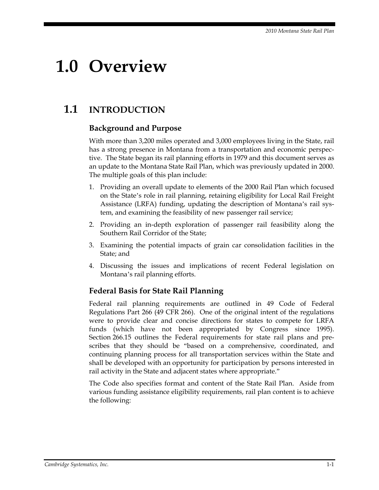# **1.0 Overview**

## **1.1 INTRODUCTION**

#### **Background and Purpose**

With more than 3,200 miles operated and 3,000 employees living in the State, rail has a strong presence in Montana from a transportation and economic perspective. The State began its rail planning efforts in 1979 and this document serves as an update to the Montana State Rail Plan, which was previously updated in 2000. The multiple goals of this plan include:

- 1. Providing an overall update to elements of the 2000 Rail Plan which focused on the State's role in rail planning, retaining eligibility for Local Rail Freight Assistance (LRFA) funding, updating the description of Montana's rail system, and examining the feasibility of new passenger rail service;
- 2. Providing an in-depth exploration of passenger rail feasibility along the Southern Rail Corridor of the State;
- 3. Examining the potential impacts of grain car consolidation facilities in the State; and
- 4. Discussing the issues and implications of recent Federal legislation on Montana's rail planning efforts.

#### **Federal Basis for State Rail Planning**

Federal rail planning requirements are outlined in 49 Code of Federal Regulations Part 266 (49 CFR 266). One of the original intent of the regulations were to provide clear and concise directions for states to compete for LRFA funds (which have not been appropriated by Congress since 1995). Section 266.15 outlines the Federal requirements for state rail plans and prescribes that they should be "based on a comprehensive, coordinated, and continuing planning process for all transportation services within the State and shall be developed with an opportunity for participation by persons interested in rail activity in the State and adjacent states where appropriate."

The Code also specifies format and content of the State Rail Plan. Aside from various funding assistance eligibility requirements, rail plan content is to achieve the following: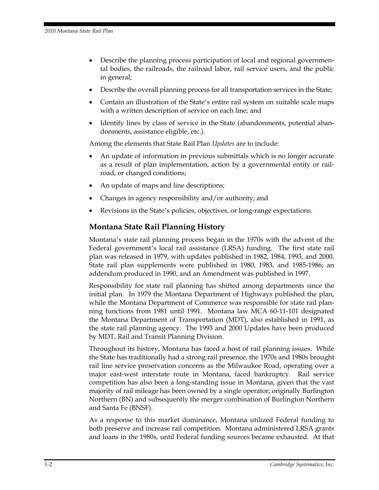- Describe the planning process participation of local and regional governmental bodies, the railroads, the railroad labor, rail service users, and the public in general;
- Describe the overall planning process for all transportation services in the State;
- Contain an illustration of the State's entire rail system on suitable scale maps with a written description of service on each line; and
- Identify lines by class of service in the State (abandonments, potential abandonments, assistance eligible, etc.).

Among the elements that State Rail Plan *Updates* are to include:

- An update of information in previous submittals which is no longer accurate as a result of plan implementation, action by a governmental entity or railroad, or changed conditions;
- An update of maps and line descriptions;
- Changes in agency responsibility and/or authority; and
- Revisions in the State's policies, objectives, or long-range expectations.

#### **Montana State Rail Planning History**

Montana's state rail planning process began in the 1970s with the advent of the Federal government's local rail assistance (LRSA) funding. The first state rail plan was released in 1979, with updates published in 1982, 1984, 1993, and 2000. State rail plan supplements were published in 1980, 1983, and 1985-1986; an addendum produced in 1990, and an Amendment was published in 1997.

Responsibility for state rail planning has shifted among departments since the initial plan. In 1979 the Montana Department of Highways published the plan, while the Montana Department of Commerce was responsible for state rail planning functions from 1981 until 1991. Montana law MCA 60-11-101 designated the Montana Department of Transportation (MDT), also established in 1991, as the state rail planning agency. The 1993 and 2000 Updates have been produced by MDT, Rail and Transit Planning Division.

Throughout its history, Montana has faced a host of rail planning issues. While the State has traditionally had a strong rail presence, the 1970s and 1980s brought rail line service preservation concerns as the Milwaukee Road, operating over a major east-west interstate route in Montana, faced bankruptcy. Rail service competition has also been a long-standing issue in Montana, given that the vast majority of rail mileage has been owned by a single operator; originally Burlington Northern (BN) and subsequently the merger combination of Burlington Northern and Santa Fe (BNSF).

As a response to this market dominance, Montana utilized Federal funding to both preserve and increase rail competition. Montana administered LRSA grants and loans in the 1980s, until Federal funding sources became exhausted. At that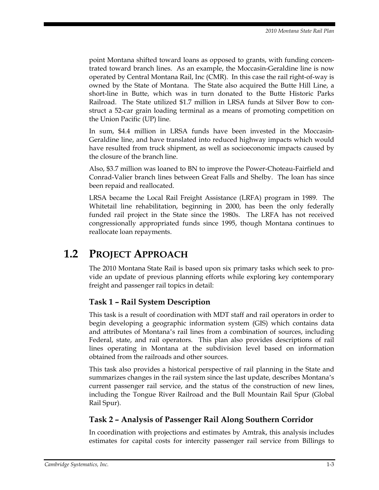point Montana shifted toward loans as opposed to grants, with funding concentrated toward branch lines. As an example, the Moccasin-Geraldine line is now operated by Central Montana Rail, Inc (CMR). In this case the rail right-of-way is owned by the State of Montana. The State also acquired the Butte Hill Line, a short-line in Butte, which was in turn donated to the Butte Historic Parks Railroad. The State utilized \$1.7 million in LRSA funds at Silver Bow to construct a 52-car grain loading terminal as a means of promoting competition on the Union Pacific (UP) line.

In sum, \$4.4 million in LRSA funds have been invested in the Moccasin-Geraldine line, and have translated into reduced highway impacts which would have resulted from truck shipment, as well as socioeconomic impacts caused by the closure of the branch line.

Also, \$3.7 million was loaned to BN to improve the Power-Choteau-Fairfield and Conrad-Valier branch lines between Great Falls and Shelby. The loan has since been repaid and reallocated.

LRSA became the Local Rail Freight Assistance (LRFA) program in 1989. The Whitetail line rehabilitation, beginning in 2000, has been the only federally funded rail project in the State since the 1980s. The LRFA has not received congressionally appropriated funds since 1995, though Montana continues to reallocate loan repayments.

## **1.2 PROJECT APPROACH**

The 2010 Montana State Rail is based upon six primary tasks which seek to provide an update of previous planning efforts while exploring key contemporary freight and passenger rail topics in detail:

#### **Task 1 – Rail System Description**

This task is a result of coordination with MDT staff and rail operators in order to begin developing a geographic information system (GIS) which contains data and attributes of Montana's rail lines from a combination of sources, including Federal, state, and rail operators. This plan also provides descriptions of rail lines operating in Montana at the subdivision level based on information obtained from the railroads and other sources.

This task also provides a historical perspective of rail planning in the State and summarizes changes in the rail system since the last update, describes Montana's current passenger rail service, and the status of the construction of new lines, including the Tongue River Railroad and the Bull Mountain Rail Spur (Global Rail Spur).

#### **Task 2 – Analysis of Passenger Rail Along Southern Corridor**

In coordination with projections and estimates by Amtrak, this analysis includes estimates for capital costs for intercity passenger rail service from Billings to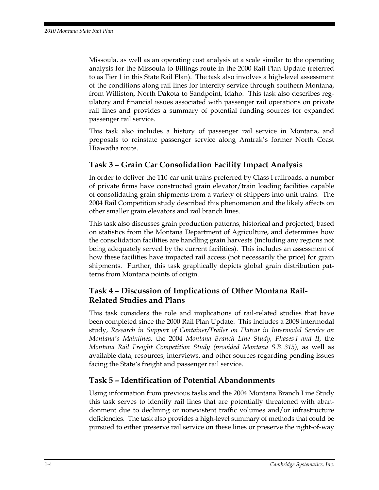Missoula, as well as an operating cost analysis at a scale similar to the operating analysis for the Missoula to Billings route in the 2000 Rail Plan Update (referred to as Tier 1 in this State Rail Plan). The task also involves a high-level assessment of the conditions along rail lines for intercity service through southern Montana, from Williston, North Dakota to Sandpoint, Idaho. This task also describes regulatory and financial issues associated with passenger rail operations on private rail lines and provides a summary of potential funding sources for expanded passenger rail service.

This task also includes a history of passenger rail service in Montana, and proposals to reinstate passenger service along Amtrak's former North Coast Hiawatha route.

#### **Task 3 – Grain Car Consolidation Facility Impact Analysis**

In order to deliver the 110-car unit trains preferred by Class I railroads, a number of private firms have constructed grain elevator/train loading facilities capable of consolidating grain shipments from a variety of shippers into unit trains. The 2004 Rail Competition study described this phenomenon and the likely affects on other smaller grain elevators and rail branch lines.

This task also discusses grain production patterns, historical and projected, based on statistics from the Montana Department of Agriculture, and determines how the consolidation facilities are handling grain harvests (including any regions not being adequately served by the current facilities). This includes an assessment of how these facilities have impacted rail access (not necessarily the price) for grain shipments. Further, this task graphically depicts global grain distribution patterns from Montana points of origin.

#### **Task 4 – Discussion of Implications of Other Montana Rail-Related Studies and Plans**

This task considers the role and implications of rail-related studies that have been completed since the 2000 Rail Plan Update. This includes a 2008 intermodal study, *Research in Support of Container/Trailer on Flatcar in Intermodal Service on Montana's Mainlines*, the 2004 *Montana Branch Line Study, Phases I and II*, the *Montana Rail Freight Competition Study (provided Montana S.B. 315),* as well as available data, resources, interviews, and other sources regarding pending issues facing the State's freight and passenger rail service.

#### **Task 5 – Identification of Potential Abandonments**

Using information from previous tasks and the 2004 Montana Branch Line Study this task serves to identify rail lines that are potentially threatened with abandonment due to declining or nonexistent traffic volumes and/or infrastructure deficiencies. The task also provides a high-level summary of methods that could be pursued to either preserve rail service on these lines or preserve the right-of-way